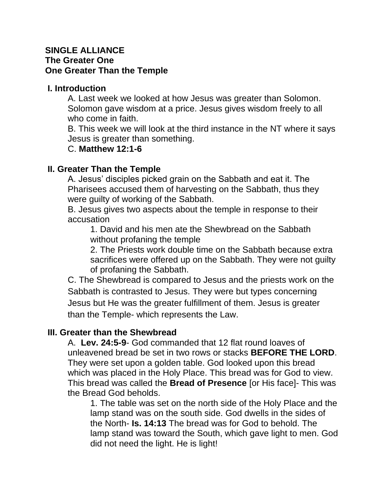# **SINGLE ALLIANCE The Greater One One Greater Than the Temple**

#### **I. Introduction**

A. Last week we looked at how Jesus was greater than Solomon. Solomon gave wisdom at a price. Jesus gives wisdom freely to all who come in faith.

B. This week we will look at the third instance in the NT where it says Jesus is greater than something.

#### C. **Matthew 12:1-6**

# **II. Greater Than the Temple**

A. Jesus' disciples picked grain on the Sabbath and eat it. The Pharisees accused them of harvesting on the Sabbath, thus they were guilty of working of the Sabbath.

B. Jesus gives two aspects about the temple in response to their accusation

1. David and his men ate the Shewbread on the Sabbath without profaning the temple

2. The Priests work double time on the Sabbath because extra sacrifices were offered up on the Sabbath. They were not guilty of profaning the Sabbath.

C. The Shewbread is compared to Jesus and the priests work on the Sabbath is contrasted to Jesus. They were but types concerning Jesus but He was the greater fulfillment of them. Jesus is greater than the Temple- which represents the Law.

# **III. Greater than the Shewbread**

A. **Lev. 24:5-9**- God commanded that 12 flat round loaves of unleavened bread be set in two rows or stacks **BEFORE THE LORD**. They were set upon a golden table. God looked upon this bread which was placed in the Holy Place. This bread was for God to view. This bread was called the **Bread of Presence** [or His face]- This was the Bread God beholds.

1. The table was set on the north side of the Holy Place and the lamp stand was on the south side. God dwells in the sides of the North- **Is. 14:13** The bread was for God to behold. The lamp stand was toward the South, which gave light to men. God did not need the light. He is light!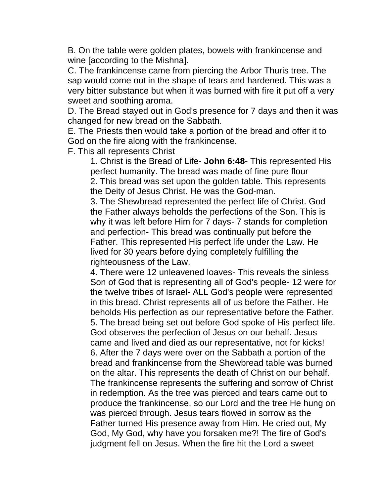B. On the table were golden plates, bowels with frankincense and wine [according to the Mishna].

C. The frankincense came from piercing the Arbor Thuris tree. The sap would come out in the shape of tears and hardened. This was a very bitter substance but when it was burned with fire it put off a very sweet and soothing aroma.

D. The Bread stayed out in God's presence for 7 days and then it was changed for new bread on the Sabbath.

E. The Priests then would take a portion of the bread and offer it to God on the fire along with the frankincense.

F. This all represents Christ

1. Christ is the Bread of Life- **John 6:48**- This represented His perfect humanity. The bread was made of fine pure flour 2. This bread was set upon the golden table. This represents the Deity of Jesus Christ. He was the God-man.

3. The Shewbread represented the perfect life of Christ. God the Father always beholds the perfections of the Son. This is why it was left before Him for 7 days- 7 stands for completion and perfection- This bread was continually put before the Father. This represented His perfect life under the Law. He lived for 30 years before dying completely fulfilling the righteousness of the Law.

4. There were 12 unleavened loaves- This reveals the sinless Son of God that is representing all of God's people- 12 were for the twelve tribes of Israel- ALL God's people were represented in this bread. Christ represents all of us before the Father. He beholds His perfection as our representative before the Father. 5. The bread being set out before God spoke of His perfect life. God observes the perfection of Jesus on our behalf. Jesus came and lived and died as our representative, not for kicks! 6. After the 7 days were over on the Sabbath a portion of the bread and frankincense from the Shewbread table was burned on the altar. This represents the death of Christ on our behalf. The frankincense represents the suffering and sorrow of Christ in redemption. As the tree was pierced and tears came out to produce the frankincense, so our Lord and the tree He hung on was pierced through. Jesus tears flowed in sorrow as the Father turned His presence away from Him. He cried out, My God, My God, why have you forsaken me?! The fire of God's judgment fell on Jesus. When the fire hit the Lord a sweet